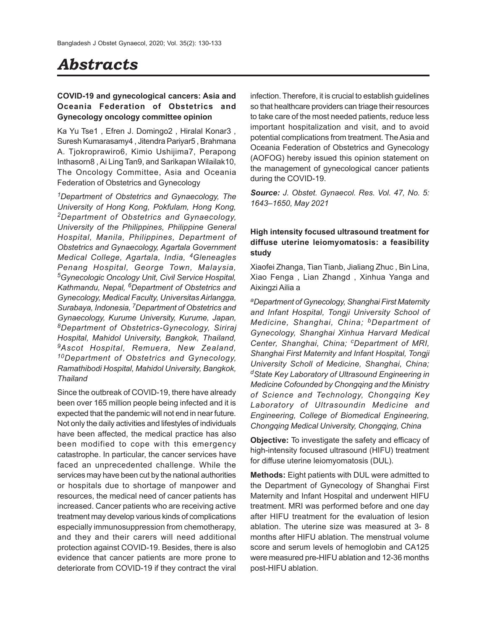# *Abstracts*

## **COVID-19 and gynecological cancers: Asia and Oceania Federation of Obstetrics and Gynecology oncology committee opinion**

Ka Yu Tse1 , Efren J. Domingo2 , Hiralal Konar3 , Suresh Kumarasamy4 , Jitendra Pariyar5 , Brahmana A. Tjokroprawiro6, Kimio Ushijima7, Perapong Inthasorn8 , Ai Ling Tan9, and Sarikapan Wilailak10, The Oncology Committee, Asia and Oceania Federation of Obstetrics and Gynecology

*<sup>1</sup>Department of Obstetrics and Gynaecology, The University of Hong Kong, Pokfulam, Hong Kong, <sup>2</sup>Department of Obstetrics and Gynaecology, University of the Philippines, Philippine General Hospital, Manila, Philippines, Department of Obstetrics and Gynaecology, Agartala Government Medical College, Agartala, India, 4Gleneagles Penang Hospital, George Town, Malaysia, <sup>5</sup>Gynecologic Oncology Unit, Civil Service Hospital, Kathmandu, Nepal, 6Department of Obstetrics and Gynecology, Medical Faculty, Universitas Airlangga, Surabaya, Indonesia, 7Department of Obstetrics and Gynaecology, Kurume University, Kurume, Japan, <sup>8</sup>Department of Obstetrics-Gynecology, Siriraj Hospital, Mahidol University, Bangkok, Thailand, <sup>9</sup>Ascot Hospital, Remuera, New Zealand, <sup>10</sup>Department of Obstetrics and Gynecology, Ramathibodi Hospital, Mahidol University, Bangkok, Thailand*

Since the outbreak of COVID-19, there have already been over 165 million people being infected and it is expected that the pandemic will not end in near future. Not only the daily activities and lifestyles of individuals have been affected, the medical practice has also been modified to cope with this emergency catastrophe. In particular, the cancer services have faced an unprecedented challenge. While the services may have been cut by the national authorities or hospitals due to shortage of manpower and resources, the medical need of cancer patients has increased. Cancer patients who are receiving active treatment may develop various kinds of complications especially immunosuppression from chemotherapy, and they and their carers will need additional protection against COVID-19. Besides, there is also evidence that cancer patients are more prone to deteriorate from COVID-19 if they contract the viral infection. Therefore, it is crucial to establish guidelines so that healthcare providers can triage their resources to take care of the most needed patients, reduce less important hospitalization and visit, and to avoid potential complications from treatment. The Asia and Oceania Federation of Obstetrics and Gynecology (AOFOG) hereby issued this opinion statement on the management of gynecological cancer patients during the COVID-19.

*Source: J. Obstet. Gynaecol. Res. Vol. 47, No. 5: 1643–1650, May 2021*

# **High intensity focused ultrasound treatment for diffuse uterine leiomyomatosis: a feasibility study**

Xiaofei Zhanga, Tian Tianb, Jialiang Zhuc , Bin Lina, Xiao Fenga , Lian Zhangd , Xinhua Yanga and Aixingzi Ailia a

*<sup>a</sup>Department of Gynecology, Shanghai First Maternity and Infant Hospital, Tongji University School of Medicine, Shanghai, China; bDepartment of Gynecology, Shanghai Xinhua Harvard Medical Center, Shanghai, China; cDepartment of MRI, Shanghai First Maternity and Infant Hospital, Tongji University Scholl of Medicine, Shanghai, China; <sup>d</sup>State Key Laboratory of Ultrasound Engineering in Medicine Cofounded by Chongqing and the Ministry of Science and Technology, Chongqing Key Laboratory of Ultrasoundin Medicine and Engineering, College of Biomedical Engineering, Chongqing Medical University, Chongqing, China*

**Objective:** To investigate the safety and efficacy of high-intensity focused ultrasound (HIFU) treatment for diffuse uterine leiomyomatosis (DUL).

**Methods:** Eight patients with DUL were admitted to the Department of Gynecology of Shanghai First Maternity and Infant Hospital and underwent HIFU treatment. MRI was performed before and one day after HIFU treatment for the evaluation of lesion ablation. The uterine size was measured at 3- 8 months after HIFU ablation. The menstrual volume score and serum levels of hemoglobin and CA125 were measured pre-HIFU ablation and 12-36 months post-HIFU ablation.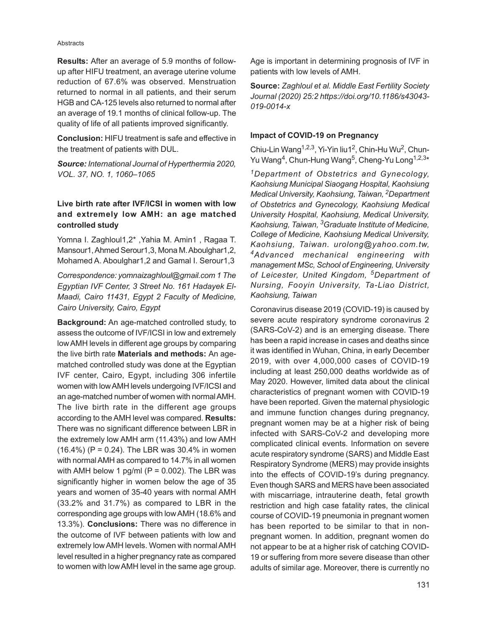#### **Abstracts**

**Results:** After an average of 5.9 months of followup after HIFU treatment, an average uterine volume reduction of 67.6% was observed. Menstruation returned to normal in all patients, and their serum HGB and CA-125 levels also returned to normal after an average of 19.1 months of clinical follow-up. The quality of life of all patients improved significantly.

**Conclusion:** HIFU treatment is safe and effective in the treatment of patients with DUL.

*Source: International Journal of Hyperthermia 2020, VOL. 37, NO. 1, 1060–1065*

# **Live birth rate after IVF/ICSI in women with low and extremely low AMH: an age matched controlled study**

Yomna I. Zaghloul1,2\* ,Yahia M. Amin1 , Ragaa T. Mansour1, Ahmed Serour1,3, Mona M. Aboulghar1,2, Mohamed A. Aboulghar1,2 and Gamal I. Serour1,3

*Correspondence: yomnaizaghloul@gmail.com 1 The Egyptian IVF Center, 3 Street No. 161 Hadayek El-Maadi, Cairo 11431, Egypt 2 Faculty of Medicine, Cairo University, Cairo, Egypt*

**Background:** An age-matched controlled study, to assess the outcome of IVF/ICSI in low and extremely low AMH levels in different age groups by comparing the live birth rate **Materials and methods:** An agematched controlled study was done at the Egyptian IVF center, Cairo, Egypt, including 306 infertile women with low AMH levels undergoing IVF/ICSI and an age-matched number of women with normal AMH. The live birth rate in the different age groups according to the AMH level was compared. **Results:** There was no significant difference between LBR in the extremely low AMH arm (11.43%) and low AMH  $(16.4\%)$  (P = 0.24). The LBR was 30.4% in women with normal AMH as compared to 14.7% in all women with AMH below 1 pg/ml  $(P = 0.002)$ . The LBR was significantly higher in women below the age of 35 years and women of 35-40 years with normal AMH (33.2% and 31.7%) as compared to LBR in the corresponding age groups with low AMH (18.6% and 13.3%). **Conclusions:** There was no difference in the outcome of IVF between patients with low and extremely low AMH levels. Women with normal AMH level resulted in a higher pregnancy rate as compared to women with low AMH level in the same age group.

Age is important in determining prognosis of IVF in patients with low levels of AMH.

**Source:** *Zaghloul et al. Middle East Fertility Society Journal (2020) 25:2 https://doi.org/10.1186/s43043- 019-0014-x*

# **Impact of COVID-19 on Pregnancy**

Chiu-Lin Wang<sup>1,2,3</sup>, Yi-Yin liu1<sup>2</sup>, Chin-Hu Wu<sup>2</sup>, Chun-Yu Wang<sup>4</sup>, Chun-Hung Wang<sup>5</sup>, Cheng-Yu Long<sup>1,2,3</sup>\*

*<sup>1</sup>Department of Obstetrics and Gynecology, Kaohsiung Municipal Siaogang Hospital, Kaohsiung Medical University, Kaohsiung, Taiwan, 2Department of Obstetrics and Gynecology, Kaohsiung Medical University Hospital, Kaohsiung, Medical University, Kaohsiung, Taiwan, 3Graduate Institute of Medicine, College of Medicine, Kaohsiung Medical University, Kaohsiung, Taiwan. urolong@yahoo.com.tw, <sup>4</sup>Advanced mechanical engineering with management MSc, School of Engineering, University of Leicester, United Kingdom, 5Department of Nursing, Fooyin University, Ta-Liao District, Kaohsiung, Taiwan*

Coronavirus disease 2019 (COVID-19) is caused by severe acute respiratory syndrome coronavirus 2 (SARS-CoV-2) and is an emerging disease. There has been a rapid increase in cases and deaths since it was identified in Wuhan, China, in early December 2019, with over 4,000,000 cases of COVID-19 including at least 250,000 deaths worldwide as of May 2020. However, limited data about the clinical characteristics of pregnant women with COVID-19 have been reported. Given the maternal physiologic and immune function changes during pregnancy, pregnant women may be at a higher risk of being infected with SARS-CoV-2 and developing more complicated clinical events. Information on severe acute respiratory syndrome (SARS) and Middle East Respiratory Syndrome (MERS) may provide insights into the effects of COVID-19's during pregnancy. Even though SARS and MERS have been associated with miscarriage, intrauterine death, fetal growth restriction and high case fatality rates, the clinical course of COVID-19 pneumonia in pregnant women has been reported to be similar to that in nonpregnant women. In addition, pregnant women do not appear to be at a higher risk of catching COVID-19 or suffering from more severe disease than other adults of similar age. Moreover, there is currently no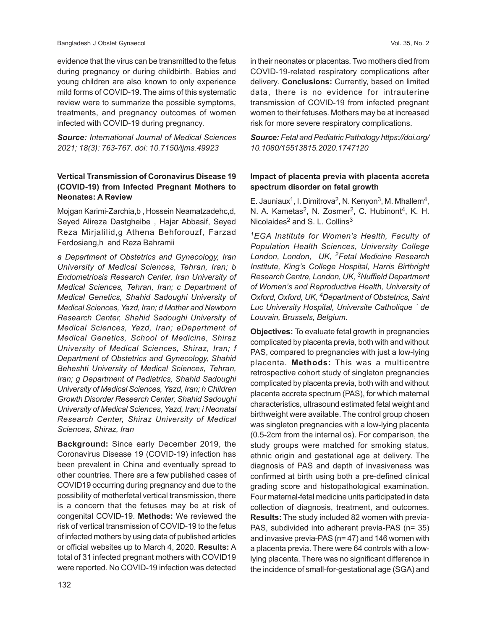evidence that the virus can be transmitted to the fetus during pregnancy or during childbirth. Babies and young children are also known to only experience mild forms of COVID-19. The aims of this systematic review were to summarize the possible symptoms, treatments, and pregnancy outcomes of women infected with COVID-19 during pregnancy.

*Source: International Journal of Medical Sciences 2021; 18(3): 763-767. doi: 10.7150/ijms.49923*

## **Vertical Transmission of Coronavirus Disease 19 (COVID-19) from Infected Pregnant Mothers to Neonates: A Review**

Mojgan Karimi-Zarchia,b , Hossein Neamatzadehc,d, Seyed Alireza Dastgheibe , Hajar Abbasif, Seyed Reza Mirjalilid,g Athena Behforouzf, Farzad Ferdosiang,h and Reza Bahramii

*a Department of Obstetrics and Gynecology, Iran University of Medical Sciences, Tehran, Iran; b Endometriosis Research Center, Iran University of Medical Sciences, Tehran, Iran; c Department of Medical Genetics, Shahid Sadoughi University of Medical Sciences, Yazd, Iran; d Mother and Newborn Research Center, Shahid Sadoughi University of Medical Sciences, Yazd, Iran; eDepartment of Medical Genetics, School of Medicine, Shiraz University of Medical Sciences, Shiraz, Iran; f Department of Obstetrics and Gynecology, Shahid Beheshti University of Medical Sciences, Tehran, Iran; g Department of Pediatrics, Shahid Sadoughi University of Medical Sciences, Yazd, Iran; h Children Growth Disorder Research Center, Shahid Sadoughi University of Medical Sciences, Yazd, Iran; i Neonatal Research Center, Shiraz University of Medical Sciences, Shiraz, Iran*

**Background:** Since early December 2019, the Coronavirus Disease 19 (COVID-19) infection has been prevalent in China and eventually spread to other countries. There are a few published cases of COVID19 occurring during pregnancy and due to the possibility of motherfetal vertical transmission, there is a concern that the fetuses may be at risk of congenital COVID-19. **Methods:** We reviewed the risk of vertical transmission of COVID-19 to the fetus of infected mothers by using data of published articles or official websites up to March 4, 2020. **Results:** A total of 31 infected pregnant mothers with COVID19 were reported. No COVID-19 infection was detected

in their neonates or placentas. Two mothers died from COVID-19-related respiratory complications after delivery. **Conclusions:** Currently, based on limited data, there is no evidence for intrauterine transmission of COVID-19 from infected pregnant women to their fetuses. Mothers may be at increased risk for more severe respiratory complications.

*Source: Fetal and Pediatric Pathology https://doi.org/ 10.1080/15513815.2020.1747120*

### **Impact of placenta previa with placenta accreta spectrum disorder on fetal growth**

E. Jauniaux<sup>1</sup>, I. Dimitrova<sup>2</sup>, N. Kenyon<sup>3</sup>, M. Mhallem<sup>4</sup>, N. A. Kametas<sup>2</sup>, N. Zosmer<sup>2</sup>, C. Hubinont<sup>4</sup>, K. H. Nicolaides<sup>2</sup> and S. L. Collins<sup>3</sup>

*<sup>1</sup>EGA Institute for Women's Health, Faculty of Population Health Sciences, University College London, London, UK, 2Fetal Medicine Research Institute, King's College Hospital, Harris Birthright Research Centre, London, UK, 3Nuffield Department of Women's and Reproductive Health, University of Oxford, Oxford, UK, 4Department of Obstetrics, Saint Luc University Hospital, Universite Catholique ´ de Louvain, Brussels, Belgium.*

**Objectives:** To evaluate fetal growth in pregnancies complicated by placenta previa, both with and without PAS, compared to pregnancies with just a low-lying placenta. **Methods:** This was a multicentre retrospective cohort study of singleton pregnancies complicated by placenta previa, both with and without placenta accreta spectrum (PAS), for which maternal characteristics, ultrasound estimated fetal weight and birthweight were available. The control group chosen was singleton pregnancies with a low-lying placenta (0.5-2cm from the internal os). For comparison, the study groups were matched for smoking status, ethnic origin and gestational age at delivery. The diagnosis of PAS and depth of invasiveness was confirmed at birth using both a pre-defined clinical grading score and histopathological examination. Four maternal-fetal medicine units participated in data collection of diagnosis, treatment, and outcomes. **Results:** The study included 82 women with previa-PAS, subdivided into adherent previa-PAS (n= 35) and invasive previa-PAS (n= 47) and 146 women with a placenta previa. There were 64 controls with a lowlying placenta. There was no significant difference in the incidence of small-for-gestational age (SGA) and